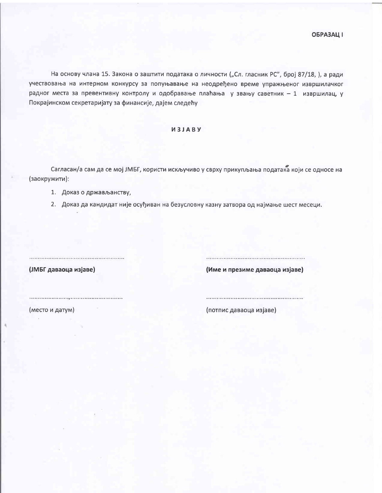На основу члана 15. Закона о заштити података о личности ("Сл. гласник РС", број 87/18, ), а ради учествовања на интерном конкурсу за попуњавање на неодређено време упражњеног извршилачког радног места за превентивну контролу и одобравање плаћања у звању саветник - 1 извршилац, у Покрајинском секретаријату за финансије, дајем следећу

## *M3JABY*

Сагласан/а сам да се мој ЈМБГ, користи искључиво у сврху прикупљања података који се односе на (заокружити):

1. Доказ о држављанству,

2. Доказ да кандидат није осуђиван на безусловну казну затвора од најмање шест месеци.

(ЈМБГ даваоца изјаве)

(Име и презиме даваоца изјаве)

(место и датум)

(потпис даваоца изјаве)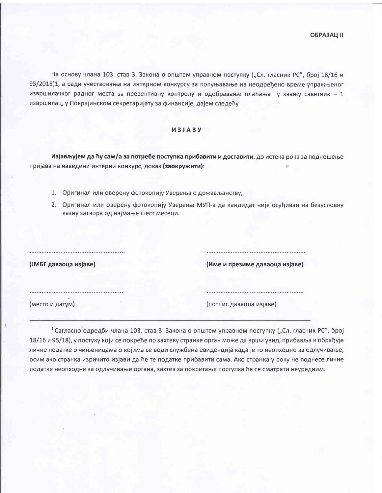На основу члана 103. став 3. Закона о општем управном поступку ("Сл. гласник РС", број 18/16 и 95/2018)1, а ради учествовања на интерном конкурсу за попуњавање на неодређено време упражњеног извршилачког радног места за превентивну контролу и одобравање плаћања у звању саветник - 1 извршилац, у Покрајинском секретаријату за финансије, дајем следећу

## *M3JABY*

Изјављујем да ћу сам/а за потребе поступка прибавити и доставити, до истека рока за подношење пријава на наведени интерни конкурс, доказ (заокружити):

1. Оригинал или оверену фотокопију Уверења о држављанству,

2. Оригинал или оверену фотокопију Уверења МУП-а да кандидат није осуђиван на безусловну казну затвора од најмање шест месеци.

(ЈМБГ даваоца изјаве)

(Име и презиме даваоца изјаве)

(место и датум)

(потпис даваоца изјаве)

<sup>1</sup> Сагласно одредби члана 103. став 3. Закона о општем управном поступку ("Сл. гласник РС", број 18/16 и 95/18), у постуку који се покреће по захтеву странке орган може да врши увид, прибавља и обрађује личне податке о чињеницама о којима се води службена евиденција када је то неопходно за одлучивање, осим ако странка изричито изјави да ће те податке прибавити сама. Ако странка у року не поднесе личне податке неопходне за одлучивање органа, захтев за покретање поступка ће се сматрати неуредним.